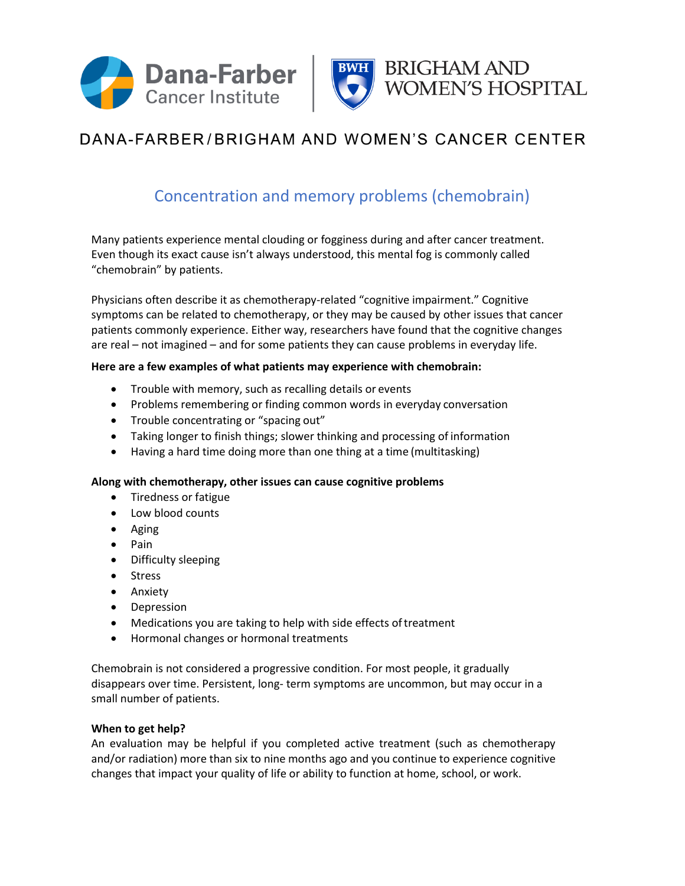



# DANA-FARBER/BRIGHAM AND WOMEN'S CANCER CENTER

### Concentration and memory problems (chemobrain)

Many patients experience mental clouding or fogginess during and after cancer treatment. Even though its exact cause isn't always understood, this mental fog is commonly called "chemobrain" by patients.

Physicians often describe it as chemotherapy-related "cognitive impairment." Cognitive symptoms can be related to chemotherapy, or they may be caused by other issues that cancer patients commonly experience. Either way, researchers have found that the cognitive changes are real – not imagined – and for some patients they can cause problems in everyday life.

#### **Here are a few examples of what patients may experience with chemobrain:**

- Trouble with memory, such as recalling details or events
- Problems remembering or finding common words in everyday conversation
- Trouble concentrating or "spacing out"
- Taking longer to finish things; slower thinking and processing of information
- Having a hard time doing more than one thing at a time (multitasking)

#### **Along with chemotherapy, other issues can cause cognitive problems**

- Tiredness or fatigue
- Low blood counts
- Aging
- Pain
- Difficulty sleeping
- **Stress**
- Anxiety
- **Depression**
- Medications you are taking to help with side effects of treatment
- Hormonal changes or hormonal treatments

Chemobrain is not considered a progressive condition. For most people, it gradually disappears over time. Persistent, long- term symptoms are uncommon, but may occur in a small number of patients.

#### **When to get help?**

An evaluation may be helpful if you completed active treatment (such as chemotherapy and/or radiation) more than six to nine months ago and you continue to experience cognitive changes that impact your quality of life or ability to function at home, school, or work.